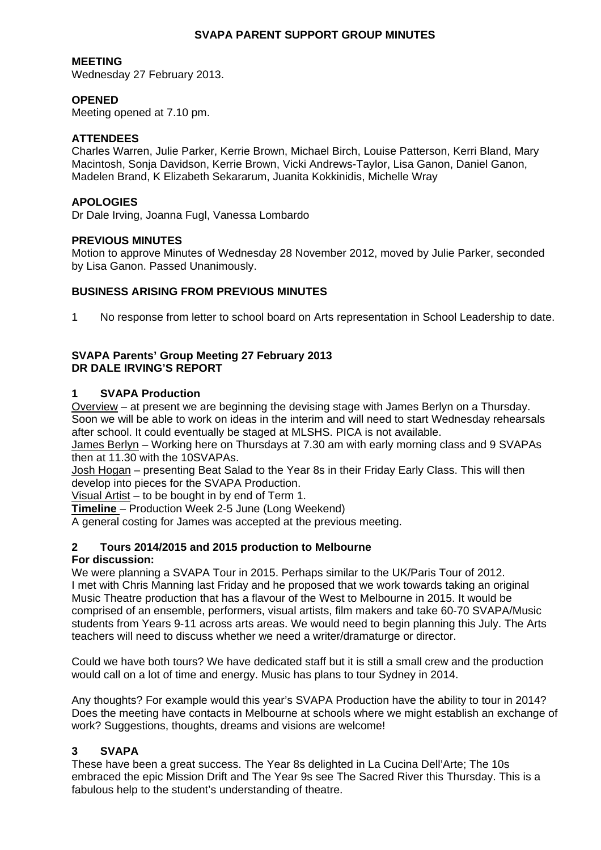# **SVAPA PARENT SUPPORT GROUP MINUTES**

# **MEETING**

Wednesday 27 February 2013.

# **OPENED**

Meeting opened at 7.10 pm.

## **ATTENDEES**

Charles Warren, Julie Parker, Kerrie Brown, Michael Birch, Louise Patterson, Kerri Bland, Mary Macintosh, Sonja Davidson, Kerrie Brown, Vicki Andrews-Taylor, Lisa Ganon, Daniel Ganon, Madelen Brand, K Elizabeth Sekararum, Juanita Kokkinidis, Michelle Wray

## **APOLOGIES**

Dr Dale Irving, Joanna Fugl, Vanessa Lombardo

### **PREVIOUS MINUTES**

Motion to approve Minutes of Wednesday 28 November 2012, moved by Julie Parker, seconded by Lisa Ganon. Passed Unanimously.

# **BUSINESS ARISING FROM PREVIOUS MINUTES**

1 No response from letter to school board on Arts representation in School Leadership to date.

# **SVAPA Parents' Group Meeting 27 February 2013 DR DALE IRVING'S REPORT**

# **1 SVAPA Production**

Overview – at present we are beginning the devising stage with James Berlyn on a Thursday. Soon we will be able to work on ideas in the interim and will need to start Wednesday rehearsals after school. It could eventually be staged at MLSHS. PICA is not available.

James Berlyn – Working here on Thursdays at 7.30 am with early morning class and 9 SVAPAs then at 11.30 with the 10SVAPAs.

Josh Hogan – presenting Beat Salad to the Year 8s in their Friday Early Class. This will then develop into pieces for the SVAPA Production.

Visual Artist – to be bought in by end of Term 1.

**Timeline** – Production Week 2-5 June (Long Weekend)

A general costing for James was accepted at the previous meeting.

# **2 Tours 2014/2015 and 2015 production to Melbourne**

#### **For discussion:**

We were planning a SVAPA Tour in 2015. Perhaps similar to the UK/Paris Tour of 2012. I met with Chris Manning last Friday and he proposed that we work towards taking an original Music Theatre production that has a flavour of the West to Melbourne in 2015. It would be comprised of an ensemble, performers, visual artists, film makers and take 60-70 SVAPA/Music students from Years 9-11 across arts areas. We would need to begin planning this July. The Arts teachers will need to discuss whether we need a writer/dramaturge or director.

Could we have both tours? We have dedicated staff but it is still a small crew and the production would call on a lot of time and energy. Music has plans to tour Sydney in 2014.

Any thoughts? For example would this year's SVAPA Production have the ability to tour in 2014? Does the meeting have contacts in Melbourne at schools where we might establish an exchange of work? Suggestions, thoughts, dreams and visions are welcome!

# **3 SVAPA**

These have been a great success. The Year 8s delighted in La Cucina Dell'Arte; The 10s embraced the epic Mission Drift and The Year 9s see The Sacred River this Thursday. This is a fabulous help to the student's understanding of theatre.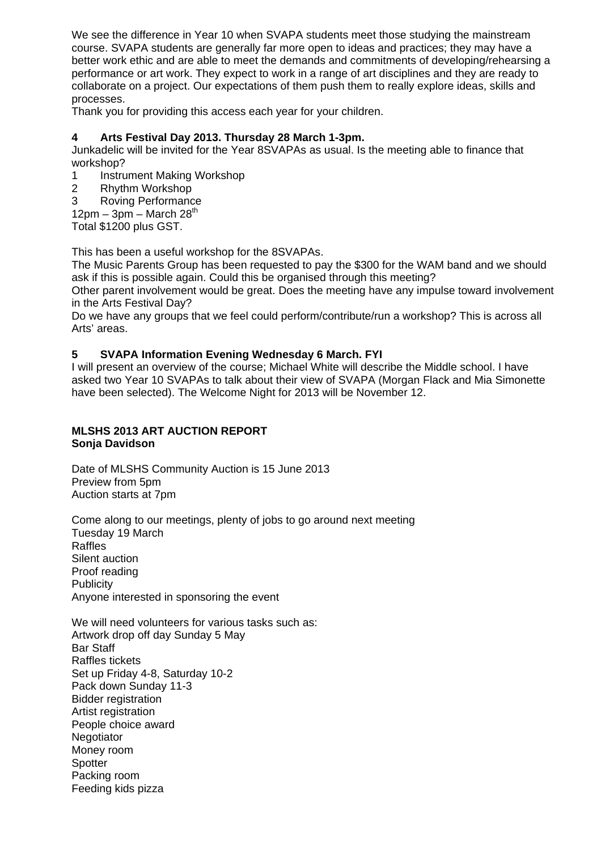We see the difference in Year 10 when SVAPA students meet those studying the mainstream course. SVAPA students are generally far more open to ideas and practices; they may have a better work ethic and are able to meet the demands and commitments of developing/rehearsing a performance or art work. They expect to work in a range of art disciplines and they are ready to collaborate on a project. Our expectations of them push them to really explore ideas, skills and processes.

Thank you for providing this access each year for your children.

# **4 Arts Festival Day 2013. Thursday 28 March 1-3pm.**

Junkadelic will be invited for the Year 8SVAPAs as usual. Is the meeting able to finance that workshop?

- 1 Instrument Making Workshop
- 2 Rhythm Workshop
- 3 Roving Performance

 $12$ pm – 3pm – March 28<sup>th</sup>

Total \$1200 plus GST.

This has been a useful workshop for the 8SVAPAs.

The Music Parents Group has been requested to pay the \$300 for the WAM band and we should ask if this is possible again. Could this be organised through this meeting?

Other parent involvement would be great. Does the meeting have any impulse toward involvement in the Arts Festival Day?

Do we have any groups that we feel could perform/contribute/run a workshop? This is across all Arts' areas.

# **5 SVAPA Information Evening Wednesday 6 March. FYI**

I will present an overview of the course; Michael White will describe the Middle school. I have asked two Year 10 SVAPAs to talk about their view of SVAPA (Morgan Flack and Mia Simonette have been selected). The Welcome Night for 2013 will be November 12.

# **MLSHS 2013 ART AUCTION REPORT Sonja Davidson**

Date of MLSHS Community Auction is 15 June 2013 Preview from 5pm Auction starts at 7pm

Come along to our meetings, plenty of jobs to go around next meeting Tuesday 19 March Raffles Silent auction Proof reading **Publicity** Anyone interested in sponsoring the event

We will need volunteers for various tasks such as: Artwork drop off day Sunday 5 May Bar Staff Raffles tickets Set up Friday 4-8, Saturday 10-2 Pack down Sunday 11-3 Bidder registration Artist registration People choice award **Negotiator** Money room **Spotter** Packing room Feeding kids pizza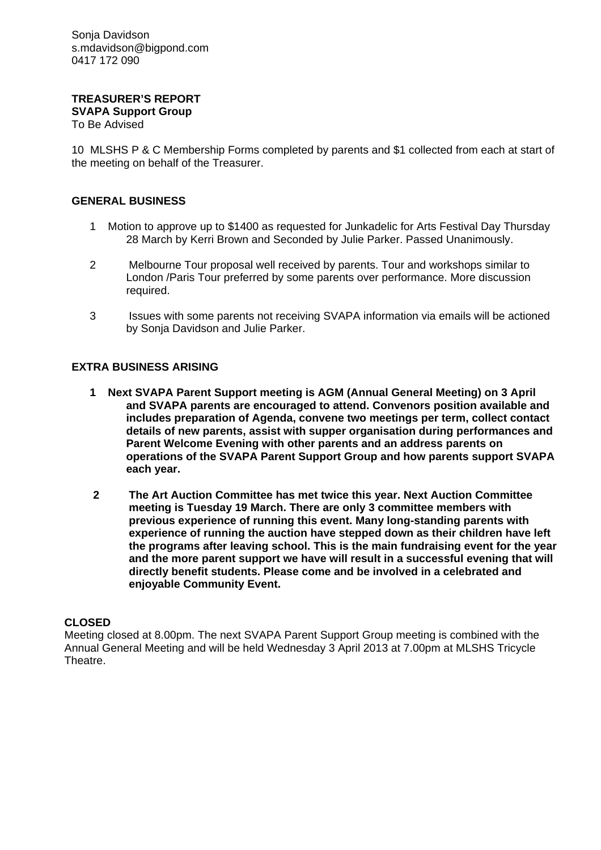Sonja Davidson s.mdavidson@bigpond.com 0417 172 090

#### **TREASURER'S REPORT SVAPA Support Group**  To Be Advised

10 MLSHS P & C Membership Forms completed by parents and \$1 collected from each at start of the meeting on behalf of the Treasurer.

# **GENERAL BUSINESS**

- 1 Motion to approve up to \$1400 as requested for Junkadelic for Arts Festival Day Thursday 28 March by Kerri Brown and Seconded by Julie Parker. Passed Unanimously.
- 2 Melbourne Tour proposal well received by parents. Tour and workshops similar to London /Paris Tour preferred by some parents over performance. More discussion required.
- 3 Issues with some parents not receiving SVAPA information via emails will be actioned by Sonja Davidson and Julie Parker.

# **EXTRA BUSINESS ARISING**

- **1 Next SVAPA Parent Support meeting is AGM (Annual General Meeting) on 3 April and SVAPA parents are encouraged to attend. Convenors position available and includes preparation of Agenda, convene two meetings per term, collect contact details of new parents, assist with supper organisation during performances and Parent Welcome Evening with other parents and an address parents on operations of the SVAPA Parent Support Group and how parents support SVAPA each year.**
- **2 The Art Auction Committee has met twice this year. Next Auction Committee meeting is Tuesday 19 March. There are only 3 committee members with previous experience of running this event. Many long-standing parents with experience of running the auction have stepped down as their children have left the programs after leaving school. This is the main fundraising event for the year and the more parent support we have will result in a successful evening that will directly benefit students. Please come and be involved in a celebrated and enjoyable Community Event.**

### **CLOSED**

Meeting closed at 8.00pm. The next SVAPA Parent Support Group meeting is combined with the Annual General Meeting and will be held Wednesday 3 April 2013 at 7.00pm at MLSHS Tricycle Theatre.